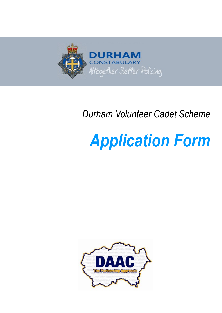

# *Durham Volunteer Cadet Scheme*

# *Application Form*

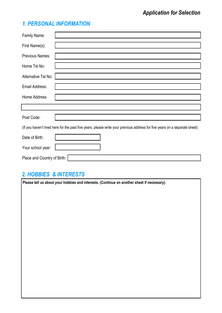# *1. PERSONAL INFORMATION*

| Family Name:                                                                                                               |  |  |
|----------------------------------------------------------------------------------------------------------------------------|--|--|
| First Name(s):                                                                                                             |  |  |
| Previous Names:                                                                                                            |  |  |
| Home Tel No:                                                                                                               |  |  |
| Alternative Tel No:                                                                                                        |  |  |
| Email Address:                                                                                                             |  |  |
| Home Address                                                                                                               |  |  |
|                                                                                                                            |  |  |
| Post Code:                                                                                                                 |  |  |
| (If you haven't lived here for the past five years, please write your previous address for five years on a separate sheet) |  |  |
| Date of Birth:                                                                                                             |  |  |
| Your school year:                                                                                                          |  |  |
| Place and Country of Birth:                                                                                                |  |  |

# *2. HOBBIES & INTERESTS*

**Please tell us about your hobbies and interests. (Continue on another sheet if necessary).**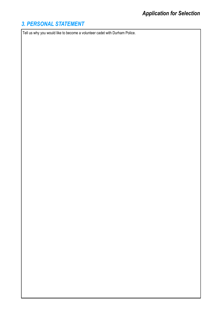# *3. PERSONAL STATEMENT*

Tell us why you would like to become a volunteer cadet with Durham Police.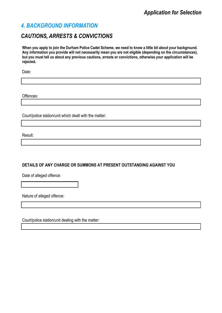#### *4. BACKGROUND INFORMATION*

### *CAUTIONS, ARRESTS & CONVICTIONS*

**When you apply to join the Durham Police Cadet Scheme, we need to know a little bit about your background. Any information you provide will not necessarily mean you are not eligible (depending on the circumstances), but you must tell us about any previous cautions, arrests or convictions, otherwise your application will be rejected.**

Date:

Offences:

Court/police station/unit which dealt with the matter:

Result:

#### **DETAILS OF ANY CHARGE OR SUMMONS AT PRESENT OUTSTANDING AGAINST YOU**

Date of alleged offence:

Nature of alleged offence:

Court/police station/unit dealing with the matter: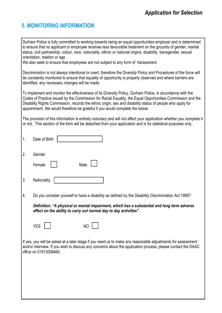# *5. MONITORING INFORMATION*

Durham Police is fully committed to working towards being an equal opportunities employer and is determined to ensure that no applicant or employee receives less favourable treatment on the grounds of gender, marital status, civil partnership, colour, race, nationality, ethnic or national origins, disability, transgender, sexual orientation, relation or age.

We also seek to ensure that employees are not subject to any form of harassment.

Discrimination is not always intentional or overt, therefore the Diversity Policy and Procedures of the force will be constantly monitored to ensure that equality of opportunity is properly observed and where barriers are identified, any necessary changes will be made.

To implement and monitor the effectiveness of its Diversity Policy, Durham Police, in accordance with the Codes of Practice issued by the Commission for Racial Equality, the Equal Opportunities Commission and the Disability Rights Commission, records the ethnic origin, sex and disability status of people who apply for appointment. We would therefore be grateful if you would complete the below.

The provision of this information is entirely voluntary and will not affect your application whether you complete it or not. This section of the form will be detached from your application and is for statistical purposes only.

| 1. | Date of Birth                                                                                                                                                                                                                                         |
|----|-------------------------------------------------------------------------------------------------------------------------------------------------------------------------------------------------------------------------------------------------------|
| 2. | Gender<br>Male<br>Female                                                                                                                                                                                                                              |
| 3. | Nationality                                                                                                                                                                                                                                           |
| 4. | Do you consider yourself to have a disability as defined by the Disability Discrimination Act 1995?                                                                                                                                                   |
|    | Definition: "A physical or mental impairment, which has a substantial and long term adverse<br>effect on the ability to carry out normal day to day activities".                                                                                      |
|    | <b>YES</b><br>N <sub>O</sub>                                                                                                                                                                                                                          |
|    | If yes, you will be asked at a later stage if you need us to make any reasonable adjustments for assessment<br>and/or interview. If you wish to discuss any concerns about the application process, please contact the DAAC<br>office on 01913008460. |
|    |                                                                                                                                                                                                                                                       |
|    |                                                                                                                                                                                                                                                       |
|    |                                                                                                                                                                                                                                                       |